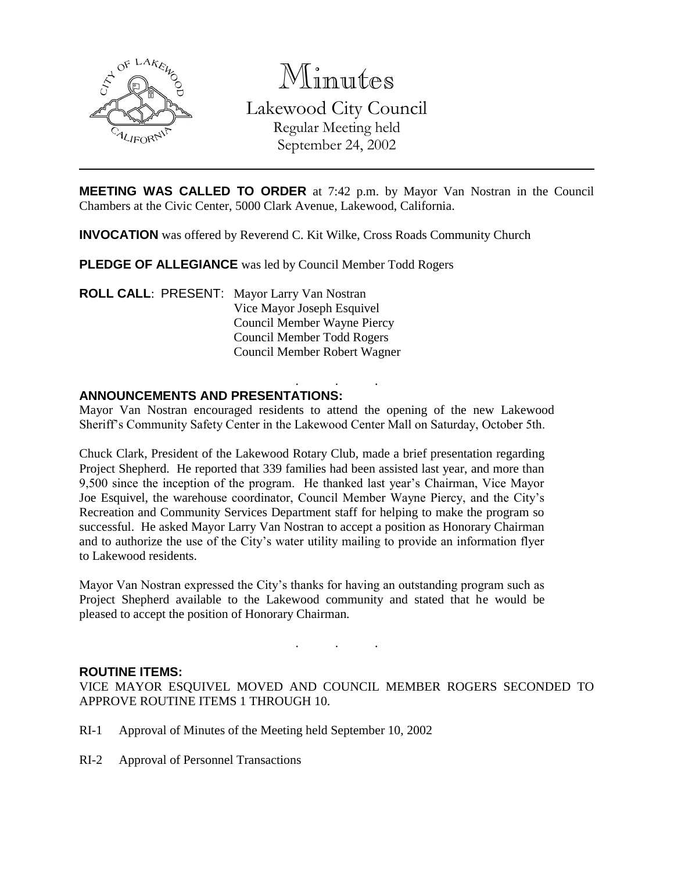

Minutes Lakewood City Council Regular Meeting held September 24, 2002

**MEETING WAS CALLED TO ORDER** at 7:42 p.m. by Mayor Van Nostran in the Council Chambers at the Civic Center, 5000 Clark Avenue, Lakewood, California.

**INVOCATION** was offered by Reverend C. Kit Wilke, Cross Roads Community Church

**PLEDGE OF ALLEGIANCE** was led by Council Member Todd Rogers

**ROLL CALL**: PRESENT: Mayor Larry Van Nostran Vice Mayor Joseph Esquivel Council Member Wayne Piercy Council Member Todd Rogers Council Member Robert Wagner

#### . . . **ANNOUNCEMENTS AND PRESENTATIONS:**

Mayor Van Nostran encouraged residents to attend the opening of the new Lakewood Sheriff's Community Safety Center in the Lakewood Center Mall on Saturday, October 5th.

Chuck Clark, President of the Lakewood Rotary Club, made a brief presentation regarding Project Shepherd. He reported that 339 families had been assisted last year, and more than 9,500 since the inception of the program. He thanked last year's Chairman, Vice Mayor Joe Esquivel, the warehouse coordinator, Council Member Wayne Piercy, and the City's Recreation and Community Services Department staff for helping to make the program so successful. He asked Mayor Larry Van Nostran to accept a position as Honorary Chairman and to authorize the use of the City's water utility mailing to provide an information flyer to Lakewood residents.

Mayor Van Nostran expressed the City's thanks for having an outstanding program such as Project Shepherd available to the Lakewood community and stated that he would be pleased to accept the position of Honorary Chairman.

#### **ROUTINE ITEMS:**

VICE MAYOR ESQUIVEL MOVED AND COUNCIL MEMBER ROGERS SECONDED TO APPROVE ROUTINE ITEMS 1 THROUGH 10.

. . .

- RI-1 Approval of Minutes of the Meeting held September 10, 2002
- RI-2 Approval of Personnel Transactions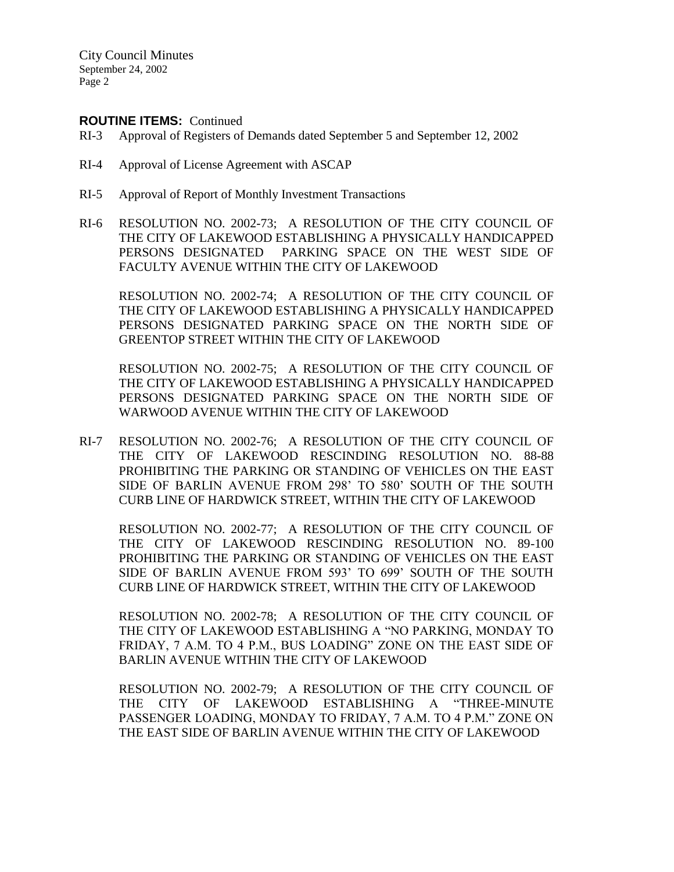### **ROUTINE ITEMS:** Continued

- RI-3 Approval of Registers of Demands dated September 5 and September 12, 2002
- RI-4 Approval of License Agreement with ASCAP
- RI-5 Approval of Report of Monthly Investment Transactions
- RI-6 RESOLUTION NO. 2002-73; A RESOLUTION OF THE CITY COUNCIL OF THE CITY OF LAKEWOOD ESTABLISHING A PHYSICALLY HANDICAPPED PERSONS DESIGNATED PARKING SPACE ON THE WEST SIDE OF FACULTY AVENUE WITHIN THE CITY OF LAKEWOOD

RESOLUTION NO. 2002-74; A RESOLUTION OF THE CITY COUNCIL OF THE CITY OF LAKEWOOD ESTABLISHING A PHYSICALLY HANDICAPPED PERSONS DESIGNATED PARKING SPACE ON THE NORTH SIDE OF GREENTOP STREET WITHIN THE CITY OF LAKEWOOD

RESOLUTION NO. 2002-75; A RESOLUTION OF THE CITY COUNCIL OF THE CITY OF LAKEWOOD ESTABLISHING A PHYSICALLY HANDICAPPED PERSONS DESIGNATED PARKING SPACE ON THE NORTH SIDE OF WARWOOD AVENUE WITHIN THE CITY OF LAKEWOOD

RI-7 RESOLUTION NO. 2002-76; A RESOLUTION OF THE CITY COUNCIL OF THE CITY OF LAKEWOOD RESCINDING RESOLUTION NO. 88-88 PROHIBITING THE PARKING OR STANDING OF VEHICLES ON THE EAST SIDE OF BARLIN AVENUE FROM 298' TO 580' SOUTH OF THE SOUTH CURB LINE OF HARDWICK STREET, WITHIN THE CITY OF LAKEWOOD

RESOLUTION NO. 2002-77; A RESOLUTION OF THE CITY COUNCIL OF THE CITY OF LAKEWOOD RESCINDING RESOLUTION NO. 89-100 PROHIBITING THE PARKING OR STANDING OF VEHICLES ON THE EAST SIDE OF BARLIN AVENUE FROM 593' TO 699' SOUTH OF THE SOUTH CURB LINE OF HARDWICK STREET, WITHIN THE CITY OF LAKEWOOD

RESOLUTION NO. 2002-78; A RESOLUTION OF THE CITY COUNCIL OF THE CITY OF LAKEWOOD ESTABLISHING A "NO PARKING, MONDAY TO FRIDAY, 7 A.M. TO 4 P.M., BUS LOADING" ZONE ON THE EAST SIDE OF BARLIN AVENUE WITHIN THE CITY OF LAKEWOOD

RESOLUTION NO. 2002-79; A RESOLUTION OF THE CITY COUNCIL OF THE CITY OF LAKEWOOD ESTABLISHING A "THREE-MINUTE PASSENGER LOADING, MONDAY TO FRIDAY, 7 A.M. TO 4 P.M." ZONE ON THE EAST SIDE OF BARLIN AVENUE WITHIN THE CITY OF LAKEWOOD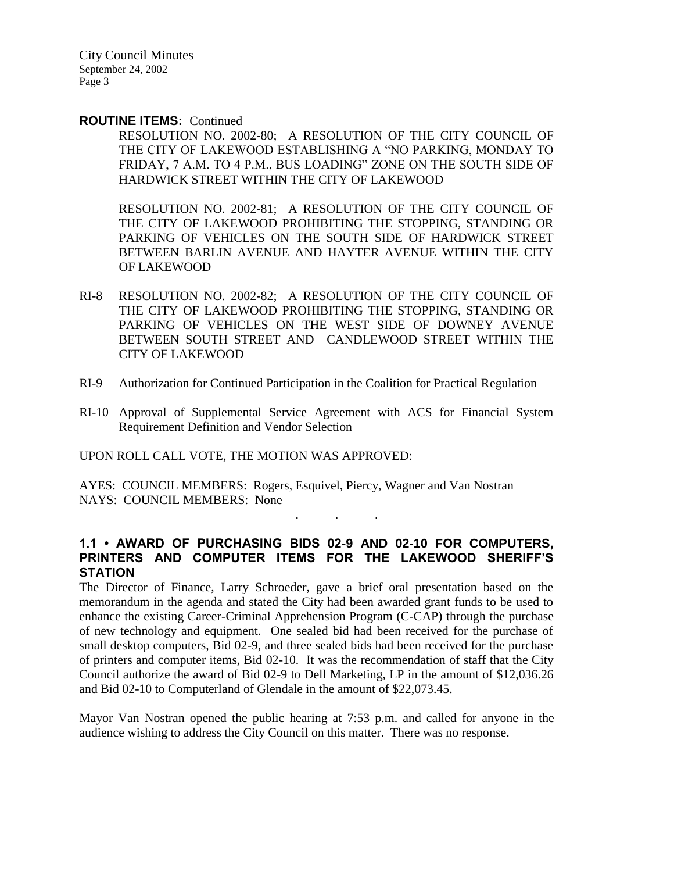#### **ROUTINE ITEMS:** Continued

RESOLUTION NO. 2002-80; A RESOLUTION OF THE CITY COUNCIL OF THE CITY OF LAKEWOOD ESTABLISHING A "NO PARKING, MONDAY TO FRIDAY, 7 A.M. TO 4 P.M., BUS LOADING" ZONE ON THE SOUTH SIDE OF HARDWICK STREET WITHIN THE CITY OF LAKEWOOD

RESOLUTION NO. 2002-81; A RESOLUTION OF THE CITY COUNCIL OF THE CITY OF LAKEWOOD PROHIBITING THE STOPPING, STANDING OR PARKING OF VEHICLES ON THE SOUTH SIDE OF HARDWICK STREET BETWEEN BARLIN AVENUE AND HAYTER AVENUE WITHIN THE CITY OF LAKEWOOD

- RI-8 RESOLUTION NO. 2002-82; A RESOLUTION OF THE CITY COUNCIL OF THE CITY OF LAKEWOOD PROHIBITING THE STOPPING, STANDING OR PARKING OF VEHICLES ON THE WEST SIDE OF DOWNEY AVENUE BETWEEN SOUTH STREET AND CANDLEWOOD STREET WITHIN THE CITY OF LAKEWOOD
- RI-9 Authorization for Continued Participation in the Coalition for Practical Regulation
- RI-10 Approval of Supplemental Service Agreement with ACS for Financial System Requirement Definition and Vendor Selection

UPON ROLL CALL VOTE, THE MOTION WAS APPROVED:

AYES: COUNCIL MEMBERS: Rogers, Esquivel, Piercy, Wagner and Van Nostran NAYS: COUNCIL MEMBERS: None

### **1.1 • AWARD OF PURCHASING BIDS 02-9 AND 02-10 FOR COMPUTERS, PRINTERS AND COMPUTER ITEMS FOR THE LAKEWOOD SHERIFF'S STATION**

. . .

The Director of Finance, Larry Schroeder, gave a brief oral presentation based on the memorandum in the agenda and stated the City had been awarded grant funds to be used to enhance the existing Career-Criminal Apprehension Program (C-CAP) through the purchase of new technology and equipment. One sealed bid had been received for the purchase of small desktop computers, Bid 02-9, and three sealed bids had been received for the purchase of printers and computer items, Bid 02-10. It was the recommendation of staff that the City Council authorize the award of Bid 02-9 to Dell Marketing, LP in the amount of \$12,036.26 and Bid 02-10 to Computerland of Glendale in the amount of \$22,073.45.

Mayor Van Nostran opened the public hearing at 7:53 p.m. and called for anyone in the audience wishing to address the City Council on this matter. There was no response.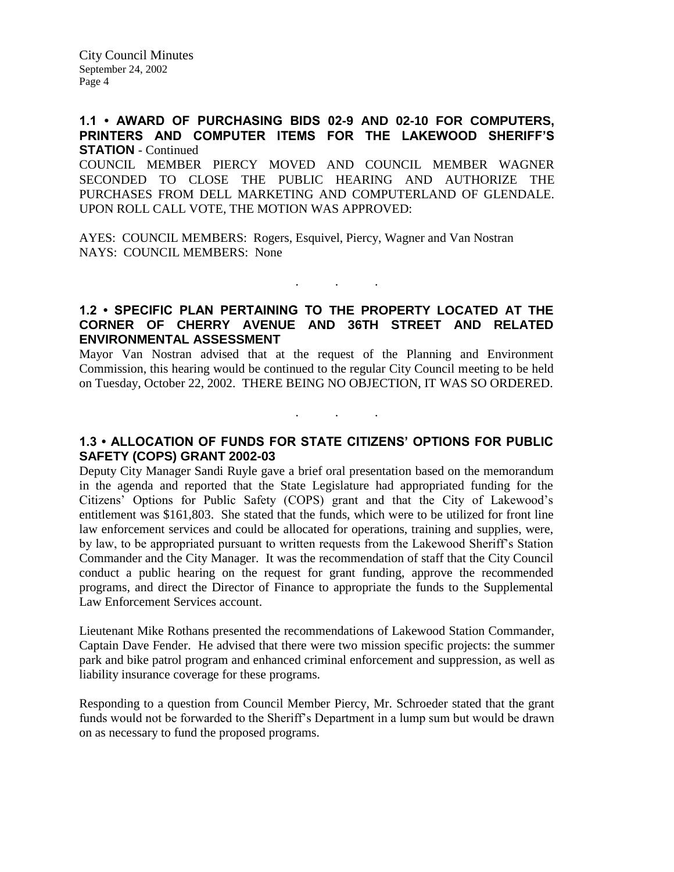## **1.1 • AWARD OF PURCHASING BIDS 02-9 AND 02-10 FOR COMPUTERS, PRINTERS AND COMPUTER ITEMS FOR THE LAKEWOOD SHERIFF'S STATION** - Continued

COUNCIL MEMBER PIERCY MOVED AND COUNCIL MEMBER WAGNER SECONDED TO CLOSE THE PUBLIC HEARING AND AUTHORIZE THE PURCHASES FROM DELL MARKETING AND COMPUTERLAND OF GLENDALE. UPON ROLL CALL VOTE, THE MOTION WAS APPROVED:

AYES: COUNCIL MEMBERS: Rogers, Esquivel, Piercy, Wagner and Van Nostran NAYS: COUNCIL MEMBERS: None

# **1.2 • SPECIFIC PLAN PERTAINING TO THE PROPERTY LOCATED AT THE CORNER OF CHERRY AVENUE AND 36TH STREET AND RELATED ENVIRONMENTAL ASSESSMENT**

 $\mathbf{r}$  .  $\mathbf{r}$  ,  $\mathbf{r}$  ,  $\mathbf{r}$  ,  $\mathbf{r}$  ,  $\mathbf{r}$  ,  $\mathbf{r}$ 

Mayor Van Nostran advised that at the request of the Planning and Environment Commission, this hearing would be continued to the regular City Council meeting to be held on Tuesday, October 22, 2002. THERE BEING NO OBJECTION, IT WAS SO ORDERED.

## **1.3 • ALLOCATION OF FUNDS FOR STATE CITIZENS' OPTIONS FOR PUBLIC SAFETY (COPS) GRANT 2002-03**

. . .

Deputy City Manager Sandi Ruyle gave a brief oral presentation based on the memorandum in the agenda and reported that the State Legislature had appropriated funding for the Citizens' Options for Public Safety (COPS) grant and that the City of Lakewood's entitlement was \$161,803. She stated that the funds, which were to be utilized for front line law enforcement services and could be allocated for operations, training and supplies, were, by law, to be appropriated pursuant to written requests from the Lakewood Sheriff's Station Commander and the City Manager. It was the recommendation of staff that the City Council conduct a public hearing on the request for grant funding, approve the recommended programs, and direct the Director of Finance to appropriate the funds to the Supplemental Law Enforcement Services account.

Lieutenant Mike Rothans presented the recommendations of Lakewood Station Commander, Captain Dave Fender. He advised that there were two mission specific projects: the summer park and bike patrol program and enhanced criminal enforcement and suppression, as well as liability insurance coverage for these programs.

Responding to a question from Council Member Piercy, Mr. Schroeder stated that the grant funds would not be forwarded to the Sheriff's Department in a lump sum but would be drawn on as necessary to fund the proposed programs.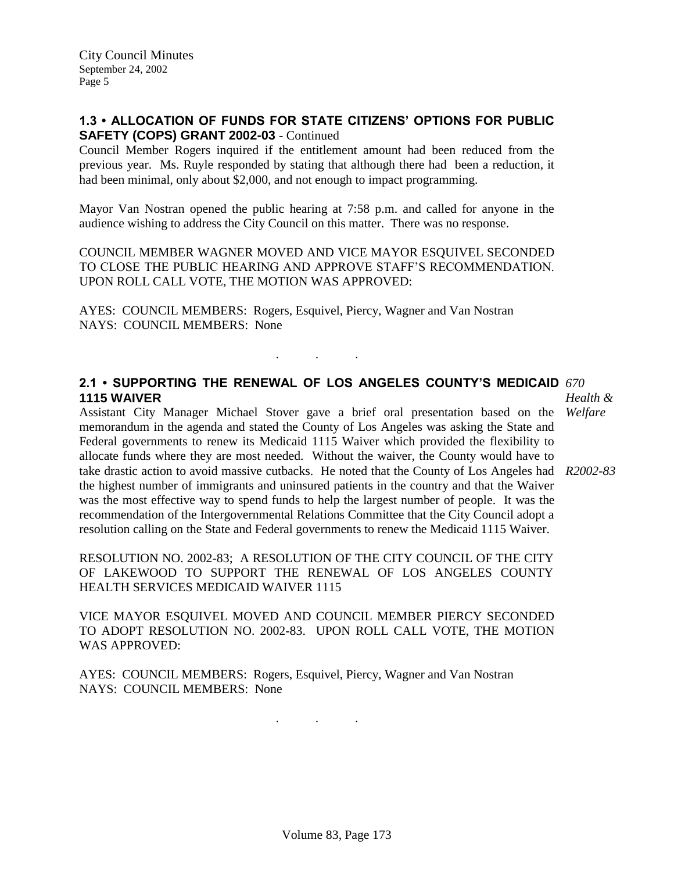## **1.3 • ALLOCATION OF FUNDS FOR STATE CITIZENS' OPTIONS FOR PUBLIC SAFETY (COPS) GRANT 2002-03** - Continued

Council Member Rogers inquired if the entitlement amount had been reduced from the previous year. Ms. Ruyle responded by stating that although there had been a reduction, it had been minimal, only about \$2,000, and not enough to impact programming.

Mayor Van Nostran opened the public hearing at 7:58 p.m. and called for anyone in the audience wishing to address the City Council on this matter. There was no response.

COUNCIL MEMBER WAGNER MOVED AND VICE MAYOR ESQUIVEL SECONDED TO CLOSE THE PUBLIC HEARING AND APPROVE STAFF'S RECOMMENDATION. UPON ROLL CALL VOTE, THE MOTION WAS APPROVED:

. . .

AYES: COUNCIL MEMBERS: Rogers, Esquivel, Piercy, Wagner and Van Nostran NAYS: COUNCIL MEMBERS: None

### **2.1 • SUPPORTING THE RENEWAL OF LOS ANGELES COUNTY'S MEDICAID**  *670* **1115 WAIVER**

Assistant City Manager Michael Stover gave a brief oral presentation based on the *Welfare* memorandum in the agenda and stated the County of Los Angeles was asking the State and Federal governments to renew its Medicaid 1115 Waiver which provided the flexibility to allocate funds where they are most needed. Without the waiver, the County would have to take drastic action to avoid massive cutbacks. He noted that the County of Los Angeles had *R2002-83* the highest number of immigrants and uninsured patients in the country and that the Waiver was the most effective way to spend funds to help the largest number of people. It was the recommendation of the Intergovernmental Relations Committee that the City Council adopt a resolution calling on the State and Federal governments to renew the Medicaid 1115 Waiver.

RESOLUTION NO. 2002-83; A RESOLUTION OF THE CITY COUNCIL OF THE CITY OF LAKEWOOD TO SUPPORT THE RENEWAL OF LOS ANGELES COUNTY HEALTH SERVICES MEDICAID WAIVER 1115

VICE MAYOR ESQUIVEL MOVED AND COUNCIL MEMBER PIERCY SECONDED TO ADOPT RESOLUTION NO. 2002-83. UPON ROLL CALL VOTE, THE MOTION WAS APPROVED:

AYES: COUNCIL MEMBERS: Rogers, Esquivel, Piercy, Wagner and Van Nostran NAYS: COUNCIL MEMBERS: None

. . .

*Health &*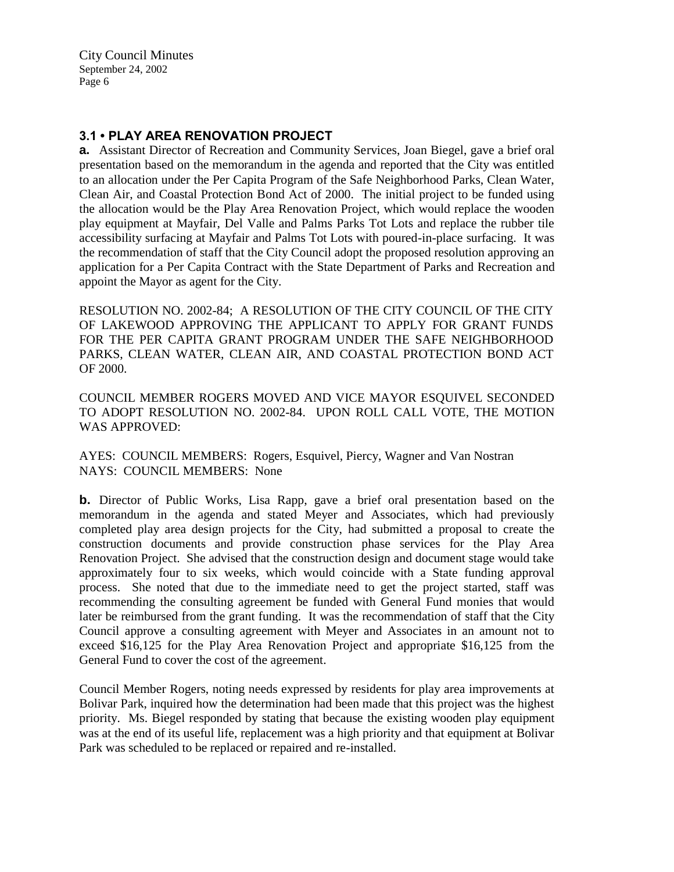# **3.1 • PLAY AREA RENOVATION PROJECT**

**a.** Assistant Director of Recreation and Community Services, Joan Biegel, gave a brief oral presentation based on the memorandum in the agenda and reported that the City was entitled to an allocation under the Per Capita Program of the Safe Neighborhood Parks, Clean Water, Clean Air, and Coastal Protection Bond Act of 2000. The initial project to be funded using the allocation would be the Play Area Renovation Project, which would replace the wooden play equipment at Mayfair, Del Valle and Palms Parks Tot Lots and replace the rubber tile accessibility surfacing at Mayfair and Palms Tot Lots with poured-in-place surfacing. It was the recommendation of staff that the City Council adopt the proposed resolution approving an application for a Per Capita Contract with the State Department of Parks and Recreation and appoint the Mayor as agent for the City.

RESOLUTION NO. 2002-84; A RESOLUTION OF THE CITY COUNCIL OF THE CITY OF LAKEWOOD APPROVING THE APPLICANT TO APPLY FOR GRANT FUNDS FOR THE PER CAPITA GRANT PROGRAM UNDER THE SAFE NEIGHBORHOOD PARKS, CLEAN WATER, CLEAN AIR, AND COASTAL PROTECTION BOND ACT OF 2000.

COUNCIL MEMBER ROGERS MOVED AND VICE MAYOR ESQUIVEL SECONDED TO ADOPT RESOLUTION NO. 2002-84. UPON ROLL CALL VOTE, THE MOTION WAS APPROVED:

AYES: COUNCIL MEMBERS: Rogers, Esquivel, Piercy, Wagner and Van Nostran NAYS: COUNCIL MEMBERS: None

**b.** Director of Public Works, Lisa Rapp, gave a brief oral presentation based on the memorandum in the agenda and stated Meyer and Associates, which had previously completed play area design projects for the City, had submitted a proposal to create the construction documents and provide construction phase services for the Play Area Renovation Project. She advised that the construction design and document stage would take approximately four to six weeks, which would coincide with a State funding approval process. She noted that due to the immediate need to get the project started, staff was recommending the consulting agreement be funded with General Fund monies that would later be reimbursed from the grant funding. It was the recommendation of staff that the City Council approve a consulting agreement with Meyer and Associates in an amount not to exceed \$16,125 for the Play Area Renovation Project and appropriate \$16,125 from the General Fund to cover the cost of the agreement.

Council Member Rogers, noting needs expressed by residents for play area improvements at Bolivar Park, inquired how the determination had been made that this project was the highest priority. Ms. Biegel responded by stating that because the existing wooden play equipment was at the end of its useful life, replacement was a high priority and that equipment at Bolivar Park was scheduled to be replaced or repaired and re-installed.